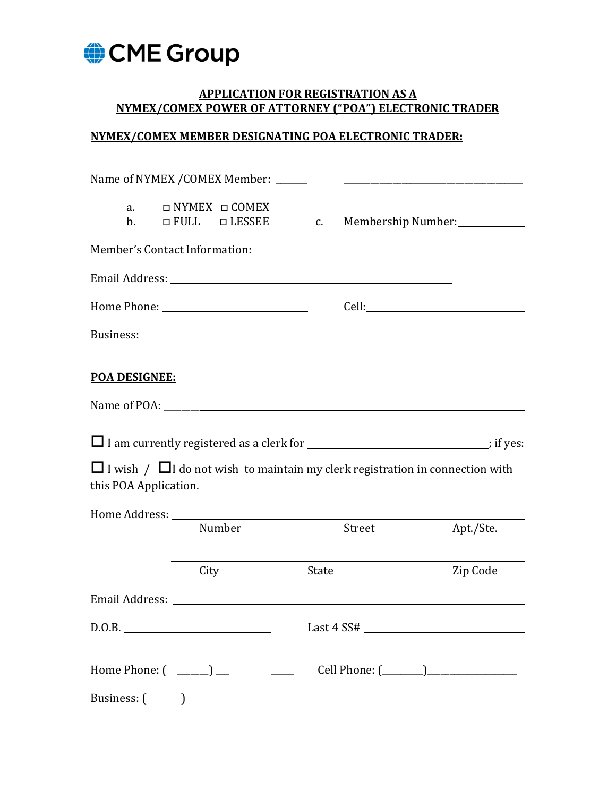

## **APPLICATION FOR REGISTRATION AS A NYMEX/COMEX POWER OF ATTORNEY ("POA") ELECTRONIC TRADER**

## **NYMEX/COMEX MEMBER DESIGNATING POA ELECTRONIC TRADER:**

| a.<br>$\mathbf{b}$ .          |      | □ NYMEX □ COMEX<br>$\Box$ FULL $\Box$ LESSEE                                                                  | C.    |        | Membership Number: |
|-------------------------------|------|---------------------------------------------------------------------------------------------------------------|-------|--------|--------------------|
| Member's Contact Information: |      |                                                                                                               |       |        |                    |
|                               |      | Email Address: No. 2014 19:30 Address: No. 2014 19:30 Address: No. 2014 19:30 Address: No. 2014 19:30 Address |       |        |                    |
|                               |      |                                                                                                               |       |        |                    |
|                               |      |                                                                                                               |       |        |                    |
| <b>POA DESIGNEE:</b>          |      |                                                                                                               |       |        |                    |
|                               |      |                                                                                                               |       |        |                    |
|                               |      | I am currently registered as a clerk for ________________________________; if yes:                            |       |        |                    |
| this POA Application.         |      | $\Box$ I wish / $\Box$ I do not wish to maintain my clerk registration in connection with                     |       |        |                    |
|                               |      |                                                                                                               |       |        |                    |
|                               |      | Number                                                                                                        |       | Street | Apt./Ste.          |
|                               | City |                                                                                                               | State |        | Zip Code           |
|                               |      |                                                                                                               |       |        |                    |
|                               |      |                                                                                                               |       |        |                    |
|                               |      |                                                                                                               |       |        |                    |
|                               |      |                                                                                                               |       |        |                    |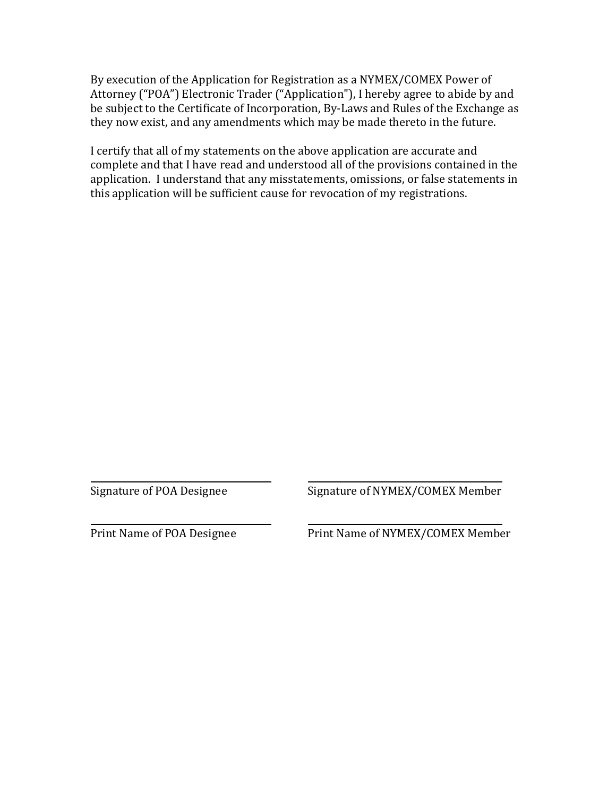By execution of the Application for Registration as a NYMEX/COMEX Power of Attorney ("POA") Electronic Trader ("Application"), I hereby agree to abide by and be subject to the Certificate of Incorporation, By-Laws and Rules of the Exchange as they now exist, and any amendments which may be made thereto in the future.

I certify that all of my statements on the above application are accurate and complete and that I have read and understood all of the provisions contained in the application. I understand that any misstatements, omissions, or false statements in this application will be sufficient cause for revocation of my registrations.

Signature of POA Designee Signature of NYMEX/COMEX Member

**\_\_\_**

 $\overline{\phantom{a}}$ 

Print Name of POA Designee Print Name of NYMEX/COMEX Member